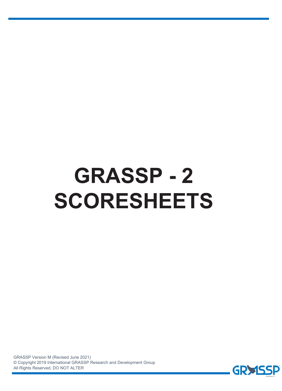# **GRASSP - 2 SCORESHEETS**

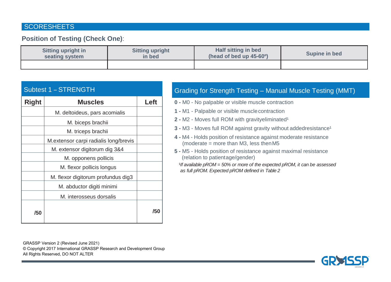### **SCORESHEETS**

### **Position of Testing (Check One)**:

| <b>Sitting upright in</b> | <b>Sitting upright</b> | Half sitting in bed                    | Supine in bed |  |  |
|---------------------------|------------------------|----------------------------------------|---------------|--|--|
| seating system            | in bed                 | (head of bed up $45-60$ <sup>o</sup> ) |               |  |  |
|                           |                        |                                        |               |  |  |

|              | <b>Subtest 1 - STRENGTH</b>           |      |
|--------------|---------------------------------------|------|
| <b>Right</b> | <b>Muscles</b>                        | Left |
|              | M. deltoideus, pars acomialis         |      |
|              | M. biceps brachii                     |      |
|              | M. triceps brachii                    |      |
|              | M.extensor carpi radialis long/brevis |      |
|              | M. extensor digitorum dig 3&4         |      |
|              | M. opponens pollicis                  |      |
|              | M. flexor pollicis longus             |      |
|              | M. flexor digitorum profundus dig3    |      |
|              | M. abductor digiti minimi             |      |
|              | M. interosseus dorsalis               |      |
| /50          |                                       | /50  |

# Grading for Strength Testing – Manual Muscle Testing (MMT)

- **0** M0 No palpable or visible muscle contraction
- **1** M1 Palpable or visible musclecontraction
- **2 M2 Moves full ROM with gravityeliminated<sup>1</sup>**
- **3 M3 Moves full ROM against gravity without addedresistance<sup>1</sup>**
- **4** M4 Holds position of resistance against moderate resistance (moderate  $=$  more than M3, less then M5
- **5** M5 Holds position of resistance against maximal resistance (relation to patientage/gender)
	- *1f available pROM = 50% or more of the expected pROM, it can be assessed as full pROM. Expected pROM defined in Table 2*

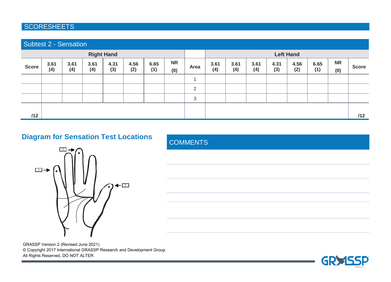## **SCORESHEETS**

| <b>Subtest 2 - Sensation</b> |             |             |             |             |             |             |                  |      |             |             |             |             |             |             |                  |              |
|------------------------------|-------------|-------------|-------------|-------------|-------------|-------------|------------------|------|-------------|-------------|-------------|-------------|-------------|-------------|------------------|--------------|
| <b>Right Hand</b>            |             |             |             |             |             |             | <b>Left Hand</b> |      |             |             |             |             |             |             |                  |              |
| Score                        | 3.61<br>(4) | 3.61<br>(4) | 3.61<br>(4) | 4.31<br>(3) | 4.56<br>(2) | 6.65<br>(1) | <b>NR</b><br>(0) | Area | 3.61<br>(4) | 3.61<br>(4) | 3.61<br>(4) | 4.31<br>(3) | 4.56<br>(2) | 6.65<br>(1) | <b>NR</b><br>(0) | <b>Score</b> |
|                              |             |             |             |             |             |             |                  |      |             |             |             |             |             |             |                  |              |
|                              |             |             |             |             |             |             |                  | 2    |             |             |             |             |             |             |                  |              |
|                              |             |             |             |             |             |             |                  | 3    |             |             |             |             |             |             |                  |              |
|                              |             |             |             |             |             |             |                  |      |             |             |             |             |             |             |                  |              |
| /12                          |             |             |             |             |             |             |                  |      |             |             |             |             |             |             |                  | /12          |

# **Diagram for Sensation Test Locations** COMMENTS





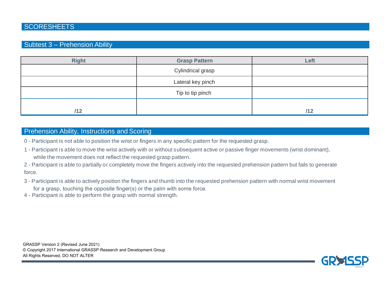### Subtest 3 – Prehension Ability

| <b>Right</b> | <b>Grasp Pattern</b> | Left |
|--------------|----------------------|------|
|              | Cylindrical grasp    |      |
|              | Lateral key pinch    |      |
|              | Tip to tip pinch     |      |
| /12          |                      | /12  |

### Prehension Ability, Instructions and Scoring

0 - Participant is not able to position the wrist or fingers in any specific pattern for the requested grasp.

- 1 Participant is able to move the wrist actively with or without subsequent active or passive finger movements (wrist dominant), while the movement does not reflect the requested grasp pattern.
- 2 Participant is able to partially or completely move the fingers actively into the requested prehension pattern but fails to generate force.
- 3 Participant is able to actively position the fingers and thumb into the requested prehension pattern with normal wrist movement for a grasp, touching the opposite finger(s) or the palm with some force.
- 4 Participant is able to perform the grasp with normal strength.